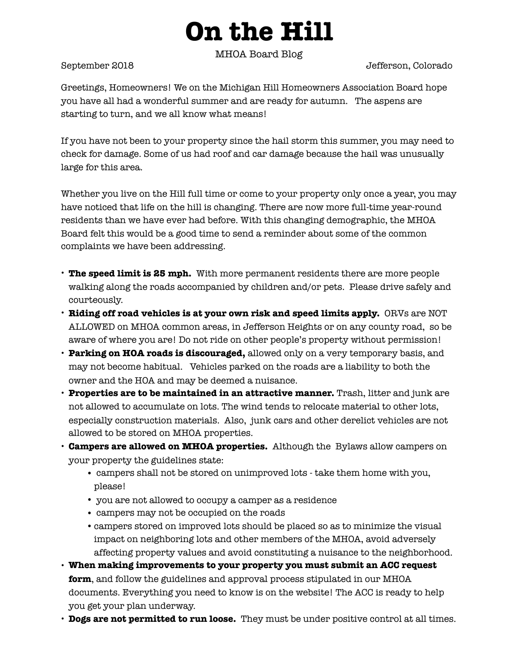## **On the Hill**

MHOA Board Blog

September 2018 Jefferson, Colorado

Greetings, Homeowners! We on the Michigan Hill Homeowners Association Board hope you have all had a wonderful summer and are ready for autumn. The aspens are starting to turn, and we all know what means!

If you have not been to your property since the hail storm this summer, you may need to check for damage. Some of us had roof and car damage because the hail was unusually large for this area.

Whether you live on the Hill full time or come to your property only once a year, you may have noticed that life on the hill is changing. There are now more full-time year-round residents than we have ever had before. With this changing demographic, the MHOA Board felt this would be a good time to send a reminder about some of the common complaints we have been addressing.

- **The speed limit is 25 mph.** With more permanent residents there are more people walking along the roads accompanied by children and/or pets. Please drive safely and courteously.
- **Riding off road vehicles is at your own risk and speed limits apply.** ORVs are NOT ALLOWED on MHOA common areas, in Jefferson Heights or on any county road, so be aware of where you are! Do not ride on other people's property without permission!
- **Parking on HOA roads is discouraged,** allowed only on a very temporary basis, and may not become habitual. Vehicles parked on the roads are a liability to both the owner and the HOA and may be deemed a nuisance.
- **Properties are to be maintained in an attractive manner.** Trash, litter and junk are not allowed to accumulate on lots. The wind tends to relocate material to other lots, especially construction materials. Also, junk cars and other derelict vehicles are not allowed to be stored on MHOA properties.
- **Campers are allowed on MHOA properties.** Although the Bylaws allow campers on your property the guidelines state:
	- campers shall not be stored on unimproved lots take them home with you, please!
	- you are not allowed to occupy a camper as a residence
	- campers may not be occupied on the roads
	- •campers stored on improved lots should be placed so as to minimize the visual impact on neighboring lots and other members of the MHOA, avoid adversely affecting property values and avoid constituting a nuisance to the neighborhood.
- **When making improvements to your property you must submit an ACC request form**, and follow the guidelines and approval process stipulated in our MHOA documents. Everything you need to know is on the website! The ACC is ready to help you get your plan underway.
- **Dogs are not permitted to run loose.** They must be under positive control at all times.